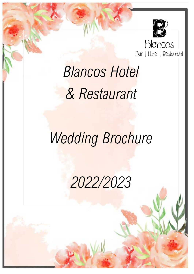

# *Blancos Hotel & Restaurant*

# *Wedding Brochure*

*2022/2023*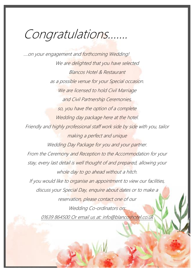### Congratulations…….

….on your engagement and forthcoming Wedding! We are delighted that you have selected Blancos Hotel & Restaurant as a possible venue for your Special occasion. We are licensed to hold Civil Marriage and Civil Partnership Ceremonies, so, you have the option of a complete Wedding day package here at the hotel. Friendly and highly professional staff work side by side with you, tailor making a perfect and unique Wedding Day Package for you and your partner. From the Ceremony and Reception to the Accommodation for your stay, every last detail is well thought of and prepared, allowing your whole day to go ahead without a hitch. If you would like to organise an appointment to view our facilities, discuss your Special Day, enquire about dates or to make a reservation, please contact one of our Wedding Co-ordinators on: 01639 864500 Or email us at: info@blancoshotel.co.uk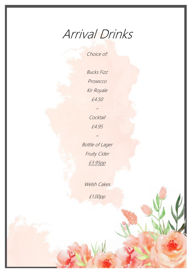### Arrival Drinks

Choice of:

Bucks Fizz Prosecco Kir Royale £4.50

> Cocktail £4.95

> > ~

~

Bottle of Lager Fruity Cider £3.95pp

Welsh Cakes

£1.00pp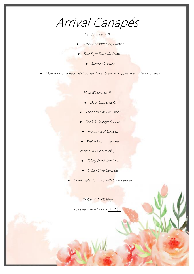Arrival Canapés

#### Fish (Choice of 1)

- Sweet Coconut King Prawns 
	- Thai Style Torpedo Prawns
		- Salmon Crostini
- Mushrooms Stuffed with Cockles, Laver bread & Topped with Y-Fenni Cheese

#### Meat (Choice of 2)

- Duck Spring Rolls
- Tandoori Chicken Strips
- Duck & Orange Spoons
- Indian Meat Samosa
- Welsh Pigs in Blankets

#### Vegetarian Choice of 1)

- Crispy Fried Wontons
- Indian Style Samosas
- Greek Style Hummus with Olive Pastries

Choice of 4:-£8.50pp

Inclusive Arrival Drink - £12.00pp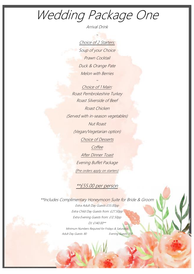### Wedding Package One

Arrival Drink

~

Choice of 2 Starters: Soup of your Choice Prawn Cocktail Duck & Orange Pate Melon with Berries 

~

Choice of 1 Main: Roast Pembrokeshire Turkey Roast Silverside of Beef Roast Chicken (Served with in-season vegetables) Nut Roast (Vegan/Vegetarian option) Choice of Desserts **Coffee** After Dinner Toast Evening Buffet Package (Pre orders apply on starters)

#### \*\*£55.00 per person

\*\*Includes Complimentary Honeymoon Suite for Bride & Groom Extra Adult Day Guests £55.00pp Extra Child Day Guests from: £27.50pp Extra Evening Guests from: £12.50pp DJ: £140.00\*\* Minimum Numbers Required for Fridays & Saturdays Adult Day Guests: 80 Evening Guests: 150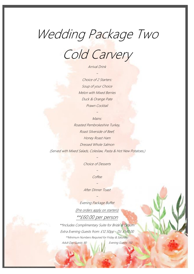### Wedding Package Two

Cold Carvery

#### Arrival Drink

 $~\sim~$ 

Choice of 2 Starters: Soup of your Choice Melon with Mixed Berries Duck & Orange Pate Prawn Cocktail

> $\sim$ Mains:

Roasted Pembrokeshire Turkey, Roast Silverside of Beef, Honey Roast Ham Dressed Whole Salmon (Served with Mixed Salads, Coleslaw, Pasta & Hot New Potatoes,)

> $~\sim~$ Choice of Desserts

> > $~\sim~$ Coffee

 $~\sim~$ After Dinner Toast

 $\sim$ 

Evening Package Buffet (Pre orders apply on starters) \*\*£60.00 per person

\*\*Includes Complimentary Suite for Bride & Groom Extra Evening Guests from: £12.50pp - DJ: £140.00 \*\*Minimum Numbers Required for Friday & Saturday: Adult Day Guests: 80 Evening Guests: 150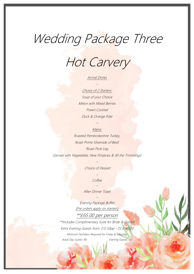### Wedding Package Three

Hot Carvery

#### Arrival Drinks

#### ~Choice of 2 Starters:

Soup of your Choice Melon with Mixed Berries Prawn Cocktail Duck & Orange Pate

#### ~Mains:

Roasted Pembrokeshire Turkey, Roast Prime Silverside of Beef, Roast Pork Leg (Served with Vegetables, New Potatoes & All the Trimmings)

> $~\sim~$ Choice of Dessert

#### $~\sim~$ **Coffee**

~After Dinner Toast  $~\sim~$ 

Evening Package Buffet (Pre orders apply on starters) \*\*£65.00 per person

\*\*Includes Complimentary Suite for Bride & Groom Extra Evening Guests from: £12.50pp - DJ £140.00 Minimum Numbers Required for Friday & Saturday: Adult Day Guests: 80 Evening Guests: 150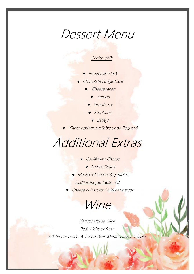### Dessert Menu

#### Choice of 2:

- Profiterole Stack
- Chocolate Fudge Cake
	- Cheesecakes:
		- Lemon
		- **Strawberry**
		- Raspberry
			- **v** Baileys
- (Other options available upon Request)

### Additional Extras

- Cauliflower Cheese
	- **French Beans**
- **Medley of Green Vegetables** 
	- £5.00 extra per table of 8
- Cheese & Biscuits £2.95 per person

Wine

Blancos House Wine Red, White or Rose £16.95 per bottle. A Varied Wine Menu is also available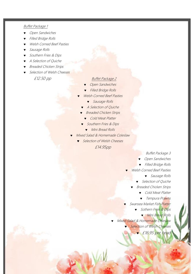#### Buffet Package 1

- Open Sandwiches
- Filled Bridge Rolls
- Welsh Corned Beef Pasties
- Sausage Rolls
- Southern Fries & Dips
- A Selection of Quiche
- Breaded Chicken Strips
- Selection of Welsh Cheeses

#### £12.50 pp Buffet Package 2

- Open Sandwiches
- Filled Bridge Rolls
- Welsh Corned Beef Pasties
	- **v** Sausage Rolls
- A Selection of Quiche
- Breaded Chicken Strips
	- Cold Meat Platter
	- Southern Fries & Dips
		- **Wini Bread Rolls**
- Mixed Salad & Homemade Coleslaw
	- Selection of Welsh Cheeses

£14.95pp

Buffet Package 3

- Open Sandwiches
- Filled Bridge Rolls
- Welsh Corned Beef Pasties
	- **v** Sausage Rolls
	- Selection of Quiche
	- Breaded Chicken Strips
		- **v** Cold Meat Platter
		- **v** Tempura Prawns
- Swansea Market Fish Platter
	- Sothern Fries & Dips
		- **Wini Bread Rolls**
- Mixed Salad & Homemade Coleslaw
	- Selection of Welsh Cheeses
		- £16.95 per head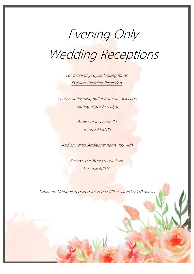# Evening Only Wedding Receptions

For those of you just looking for an Evening Wedding Reception.

Choose an Evening Buffet from our Selection starting at just £12.50pp

> Book our In-House DJ for just £140.00

Add any extra Additional Items you wish

Reserve our Honeymoon Suite For only £80.00

Minimum Numbers required for Friday 120 & Saturday 150 guests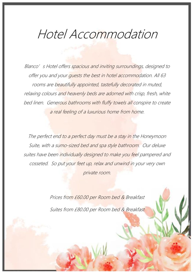### Hotel Accommodation

Blanco's Hotel offers spacious and inviting surroundings, designed to offer you and your guests the best in hotel accommodation. All 63 rooms are beautifully appointed, tastefully decorated in muted, relaxing colours and heavenly beds are adorned with crisp, fresh, white bed linen. Generous bathrooms with fluffy towels all conspire to create a real feeling of a luxurious home from home.

The perfect end to a perfect day must be a stay in the Honeymoon Suite, with a sumo-sized bed and spa style bathroom. Our deluxe suites have been individually designed to make you feel pampered and cosseted. So put your feet up, relax and unwind in your very own private room.

> Prices from £60.00 per Room bed & Breakfast Suites from £80.00 per Room bed & Breakfast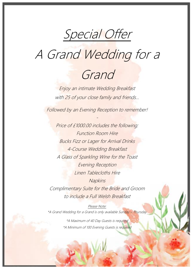Special Offer

### A Grand Wedding for a



Enjoy an intimate Wedding Breakfast with 25 of your close family and friends...

Followed by an Evening Reception to remember!

Price of £1000.00 includes the following: Function Room Hire Bucks Fizz or Lager for Arrival Drinks 4-Course Wedding Breakfast A Glass of Sparkling Wine for the Toast Evening Reception Linen Tablecloths Hire **Napkins** Complimentary Suite for the Bride and Groom to include a Full Welsh Breakfast

Please Note: \*A Grand Wedding for a Grand is only available Sunday – Thursday

> \*A Maximum of 40 Day Guests is required \*A Minimum of 100 Evening Guests is required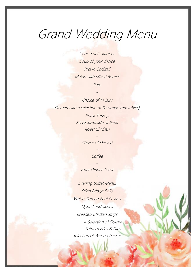### Grand Wedding Menu

Choice of 2 Starters: Soup of your choice Prawn Cocktail Melon with Mixed Berries Pate

~

Choice of 1 Main: (Served with a selection of Seasonal Vegetables) Roast Turkey, Roast Silverside of Beef, Roast Chicken

Choice of Dessert

~

~Coffee

~

After Dinner Toast

~

Evening Buffet Menu: Filled Bridge Rolls Welsh Corned Beef Pasties Open Sandwiches Breaded Chicken Strips A Selection of Quiche Sothern Fries & Dips Selection of Welsh Cheeses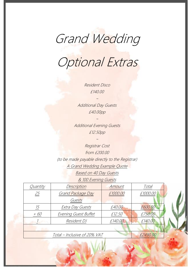### Grand Wedding

### Optional Extras

Resident Disco £140.00

Additional Day Guests £40.00pp

~

 $\sim$ 

Additional Evening Guests £12.50pp

~

Registrar Cost from £200.00 (to be made payable directly to the Registrar) A Grand Wedding Example Quote Based on 40 Day Guests

& 100 Evening Guests

| Quantity                                 | Description          | Amount   | Total    |  |
|------------------------------------------|----------------------|----------|----------|--|
| 25                                       | Grand Package Day    | £1000.00 | £1000.00 |  |
|                                          | Guests               |          |          |  |
| 15                                       | Extra Day Guests     | £40.00   | £600.00  |  |
| $+60$                                    | Evening Guest Buffet | £12.50   | £750.00  |  |
|                                          | Resident DJ          | £140.00  | £140.00  |  |
|                                          |                      |          |          |  |
| Total – Inclusive of 20% VAT<br>£2490.00 |                      |          |          |  |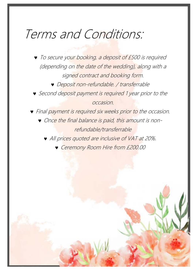### Terms and Conditions:

 $\bullet$  To secure your booking, a deposit of £500 is required (depending on the date of the wedding), along with a signed contract and booking form.

Deposit non-refundable. / transferrable

Second deposit payment is required 1 year prior to the occasion.

**•** Final payment is required six weeks prior to the occasion. Once the final balance is paid, this amount is nonrefundable/transferrable

All prices quoted are inclusive of VAT at 20%.

Ceremony Room Hire from £200.00